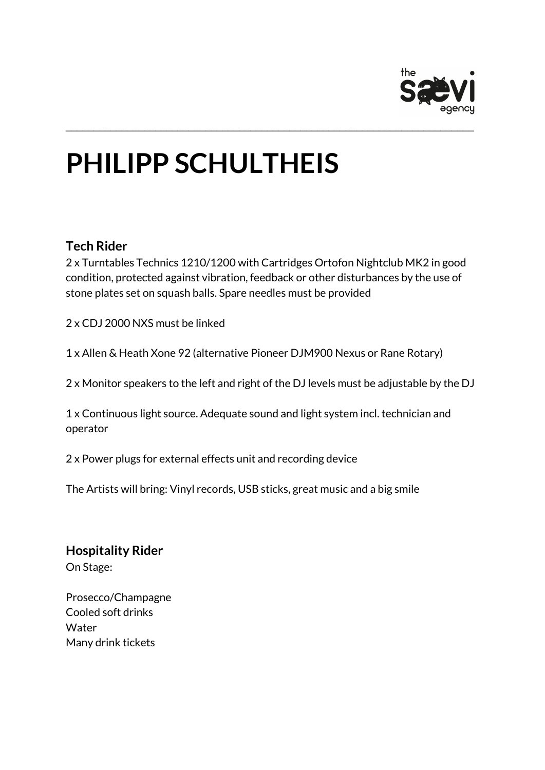

# **PHILIPP SCHULTHEIS**

#### **Tech Rider**

2 x Turntables Technics 1210/1200 with Cartridges Ortofon Nightclub MK2 in good condition, protected against vibration, feedback or other disturbances by the use of stone plates set on squash balls. Spare needles must be provided

\_\_\_\_\_\_\_\_\_\_\_\_\_\_\_\_\_\_\_\_\_\_\_\_\_\_\_\_\_\_\_\_\_\_\_\_\_\_\_\_\_\_\_\_\_\_\_\_\_\_\_\_\_\_\_\_\_\_\_\_\_\_\_\_\_\_\_\_\_\_\_\_\_

2 x CDJ 2000 NXS must be linked

1 x Allen & Heath Xone 92 (alternative Pioneer DJM900 Nexus or Rane Rotary)

2 x Monitor speakers to the left and right of the DJ levels must be adjustable by the DJ

1 x Continuous light source. Adequate sound and light system incl. technician and operator

2 x Power plugs for external effects unit and recording device

The Artists will bring: Vinyl records, USB sticks, great music and a big smile

# **Hospitality Rider**

On Stage:

Prosecco/Champagne Cooled soft drinks **Water** Many drink tickets